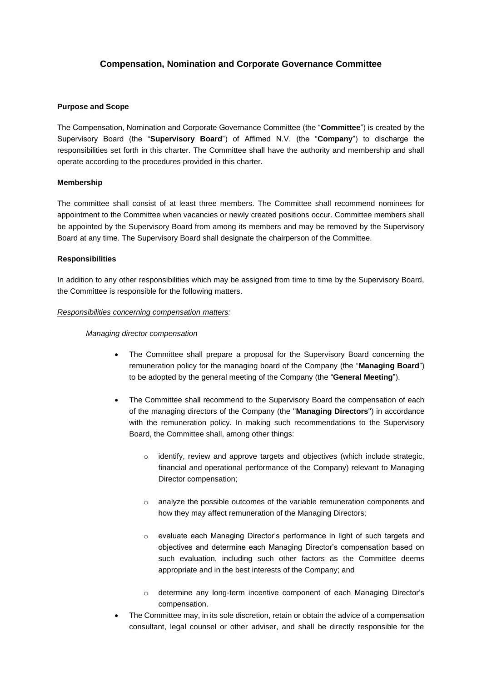# **Compensation, Nomination and Corporate Governance Committee**

## **Purpose and Scope**

The Compensation, Nomination and Corporate Governance Committee (the "**Committee**") is created by the Supervisory Board (the "**Supervisory Board**") of Affimed N.V. (the "**Company**") to discharge the responsibilities set forth in this charter. The Committee shall have the authority and membership and shall operate according to the procedures provided in this charter.

# **Membership**

The committee shall consist of at least three members. The Committee shall recommend nominees for appointment to the Committee when vacancies or newly created positions occur. Committee members shall be appointed by the Supervisory Board from among its members and may be removed by the Supervisory Board at any time. The Supervisory Board shall designate the chairperson of the Committee.

# **Responsibilities**

In addition to any other responsibilities which may be assigned from time to time by the Supervisory Board, the Committee is responsible for the following matters.

#### *Responsibilities concerning compensation matters:*

## *Managing director compensation*

- The Committee shall prepare a proposal for the Supervisory Board concerning the remuneration policy for the managing board of the Company (the "**Managing Board**") to be adopted by the general meeting of the Company (the "**General Meeting**").
- The Committee shall recommend to the Supervisory Board the compensation of each of the managing directors of the Company (the ''**Managing Directors**'') in accordance with the remuneration policy. In making such recommendations to the Supervisory Board, the Committee shall, among other things:
	- o identify, review and approve targets and objectives (which include strategic, financial and operational performance of the Company) relevant to Managing Director compensation;
	- o analyze the possible outcomes of the variable remuneration components and how they may affect remuneration of the Managing Directors;
	- o evaluate each Managing Director's performance in light of such targets and objectives and determine each Managing Director's compensation based on such evaluation, including such other factors as the Committee deems appropriate and in the best interests of the Company; and
	- o determine any long-term incentive component of each Managing Director's compensation.
- The Committee may, in its sole discretion, retain or obtain the advice of a compensation consultant, legal counsel or other adviser, and shall be directly responsible for the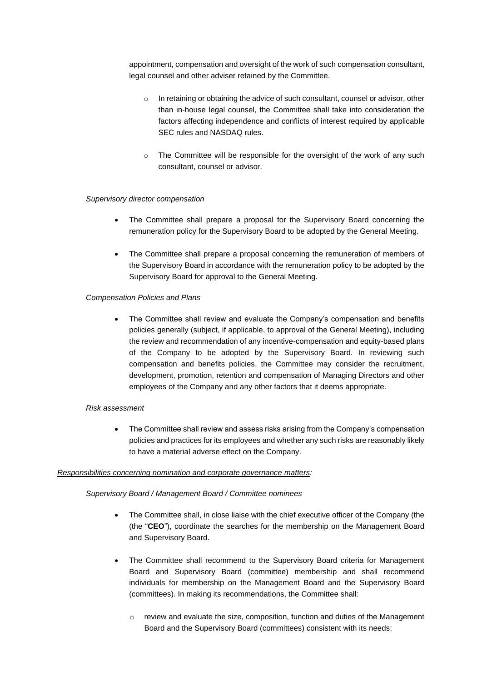appointment, compensation and oversight of the work of such compensation consultant, legal counsel and other adviser retained by the Committee.

- o In retaining or obtaining the advice of such consultant, counsel or advisor, other than in-house legal counsel, the Committee shall take into consideration the factors affecting independence and conflicts of interest required by applicable SEC rules and NASDAQ rules.
- o The Committee will be responsible for the oversight of the work of any such consultant, counsel or advisor.

## *Supervisory director compensation*

- The Committee shall prepare a proposal for the Supervisory Board concerning the remuneration policy for the Supervisory Board to be adopted by the General Meeting.
- The Committee shall prepare a proposal concerning the remuneration of members of the Supervisory Board in accordance with the remuneration policy to be adopted by the Supervisory Board for approval to the General Meeting.

#### *Compensation Policies and Plans*

• The Committee shall review and evaluate the Company's compensation and benefits policies generally (subject, if applicable, to approval of the General Meeting), including the review and recommendation of any incentive-compensation and equity-based plans of the Company to be adopted by the Supervisory Board. In reviewing such compensation and benefits policies, the Committee may consider the recruitment, development, promotion, retention and compensation of Managing Directors and other employees of the Company and any other factors that it deems appropriate.

#### *Risk assessment*

• The Committee shall review and assess risks arising from the Company's compensation policies and practices for its employees and whether any such risks are reasonably likely to have a material adverse effect on the Company.

## *Responsibilities concerning nomination and corporate governance matters:*

## *Supervisory Board / Management Board / Committee nominees*

- The Committee shall, in close liaise with the chief executive officer of the Company (the (the "**CEO**"), coordinate the searches for the membership on the Management Board and Supervisory Board.
- The Committee shall recommend to the Supervisory Board criteria for Management Board and Supervisory Board (committee) membership and shall recommend individuals for membership on the Management Board and the Supervisory Board (committees). In making its recommendations, the Committee shall:
	- $\circ$  review and evaluate the size, composition, function and duties of the Management Board and the Supervisory Board (committees) consistent with its needs;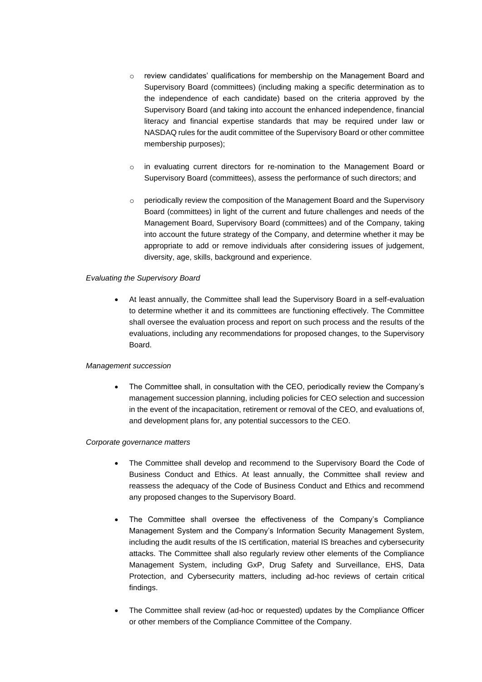- o review candidates' qualifications for membership on the Management Board and Supervisory Board (committees) (including making a specific determination as to the independence of each candidate) based on the criteria approved by the Supervisory Board (and taking into account the enhanced independence, financial literacy and financial expertise standards that may be required under law or NASDAQ rules for the audit committee of the Supervisory Board or other committee membership purposes);
- $\circ$  in evaluating current directors for re-nomination to the Management Board or Supervisory Board (committees), assess the performance of such directors; and
- $\circ$  periodically review the composition of the Management Board and the Supervisory Board (committees) in light of the current and future challenges and needs of the Management Board, Supervisory Board (committees) and of the Company, taking into account the future strategy of the Company, and determine whether it may be appropriate to add or remove individuals after considering issues of judgement, diversity, age, skills, background and experience.

# *Evaluating the Supervisory Board*

• At least annually, the Committee shall lead the Supervisory Board in a self-evaluation to determine whether it and its committees are functioning effectively. The Committee shall oversee the evaluation process and report on such process and the results of the evaluations, including any recommendations for proposed changes, to the Supervisory Board.

## *Management succession*

• The Committee shall, in consultation with the CEO, periodically review the Company's management succession planning, including policies for CEO selection and succession in the event of the incapacitation, retirement or removal of the CEO, and evaluations of, and development plans for, any potential successors to the CEO.

## *Corporate governance matters*

- The Committee shall develop and recommend to the Supervisory Board the Code of Business Conduct and Ethics. At least annually, the Committee shall review and reassess the adequacy of the Code of Business Conduct and Ethics and recommend any proposed changes to the Supervisory Board.
- The Committee shall oversee the effectiveness of the Company's Compliance Management System and the Company's Information Security Management System, including the audit results of the IS certification, material IS breaches and cybersecurity attacks. The Committee shall also regularly review other elements of the Compliance Management System, including GxP, Drug Safety and Surveillance, EHS, Data Protection, and Cybersecurity matters, including ad-hoc reviews of certain critical findings.
- The Committee shall review (ad-hoc or requested) updates by the Compliance Officer or other members of the Compliance Committee of the Company.